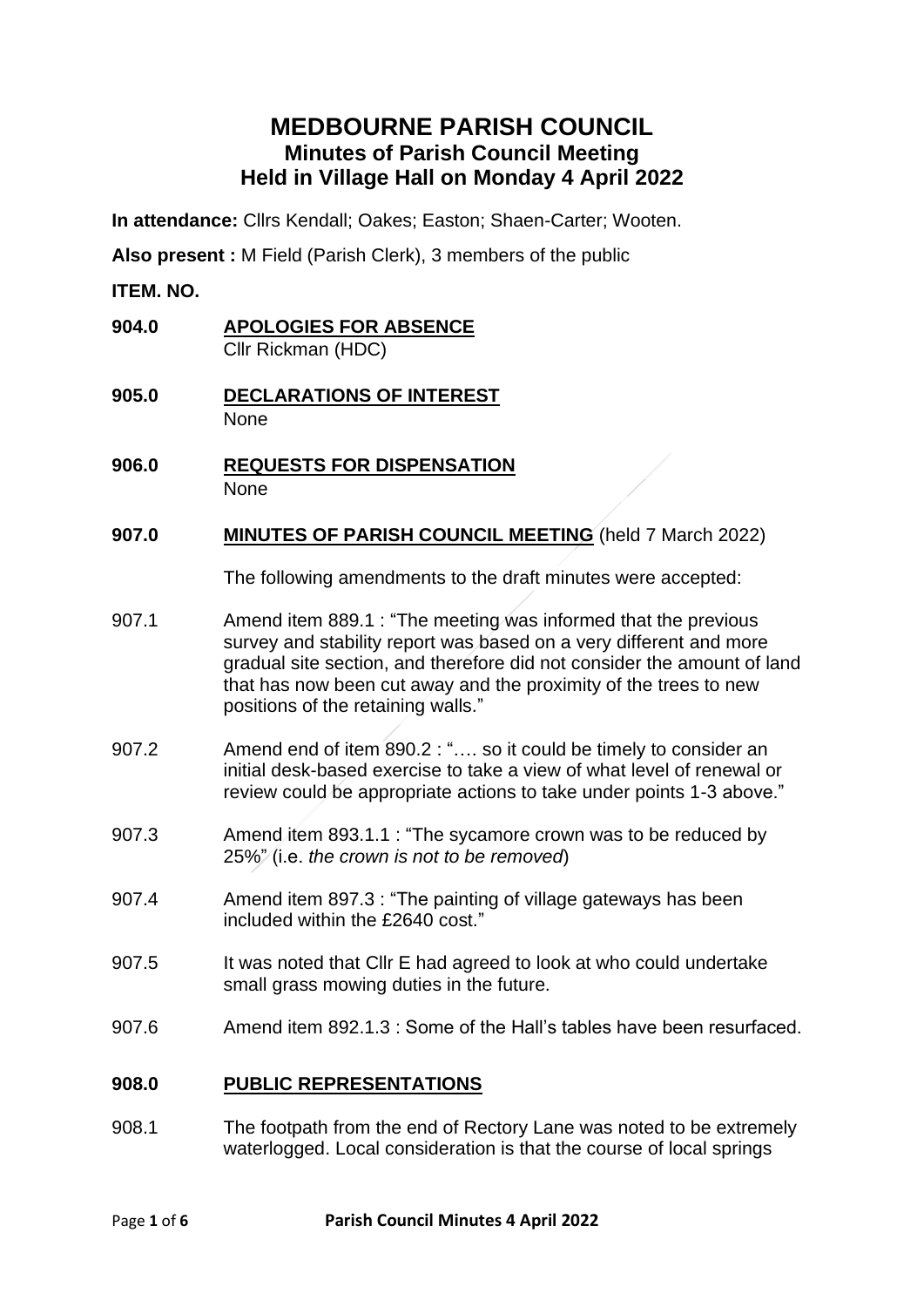# **MEDBOURNE PARISH COUNCIL Minutes of Parish Council Meeting Held in Village Hall on Monday 4 April 2022**

**In attendance:** Cllrs Kendall; Oakes; Easton; Shaen-Carter; Wooten.

**Also present :** M Field (Parish Clerk), 3 members of the public

**ITEM. NO.**

- **904.0 APOLOGIES FOR ABSENCE** Cllr Rickman (HDC)
- **905.0 DECLARATIONS OF INTEREST** None
- **906.0 REQUESTS FOR DISPENSATION** None
- **907.0 MINUTES OF PARISH COUNCIL MEETING** (held 7 March 2022)

The following amendments to the draft minutes were accepted:

- 907.1 Amend item 889.1 : "The meeting was informed that the previous survey and stability report was based on a very different and more gradual site section, and therefore did not consider the amount of land that has now been cut away and the proximity of the trees to new positions of the retaining walls."
- 907.2 Amend end of item 890.2 : ".... so it could be timely to consider an initial desk-based exercise to take a view of what level of renewal or review could be appropriate actions to take under points 1-3 above."
- 907.3 Amend item 893.1.1 : "The sycamore crown was to be reduced by 25%" (i.e. *the crown is not to be removed*)
- 907.4 Amend item 897.3 : "The painting of village gateways has been included within the £2640 cost."
- 907.5 It was noted that Cllr E had agreed to look at who could undertake small grass mowing duties in the future.
- 907.6 Amend item 892.1.3 : Some of the Hall's tables have been resurfaced.

#### **908.0 PUBLIC REPRESENTATIONS**

908.1 The footpath from the end of Rectory Lane was noted to be extremely waterlogged. Local consideration is that the course of local springs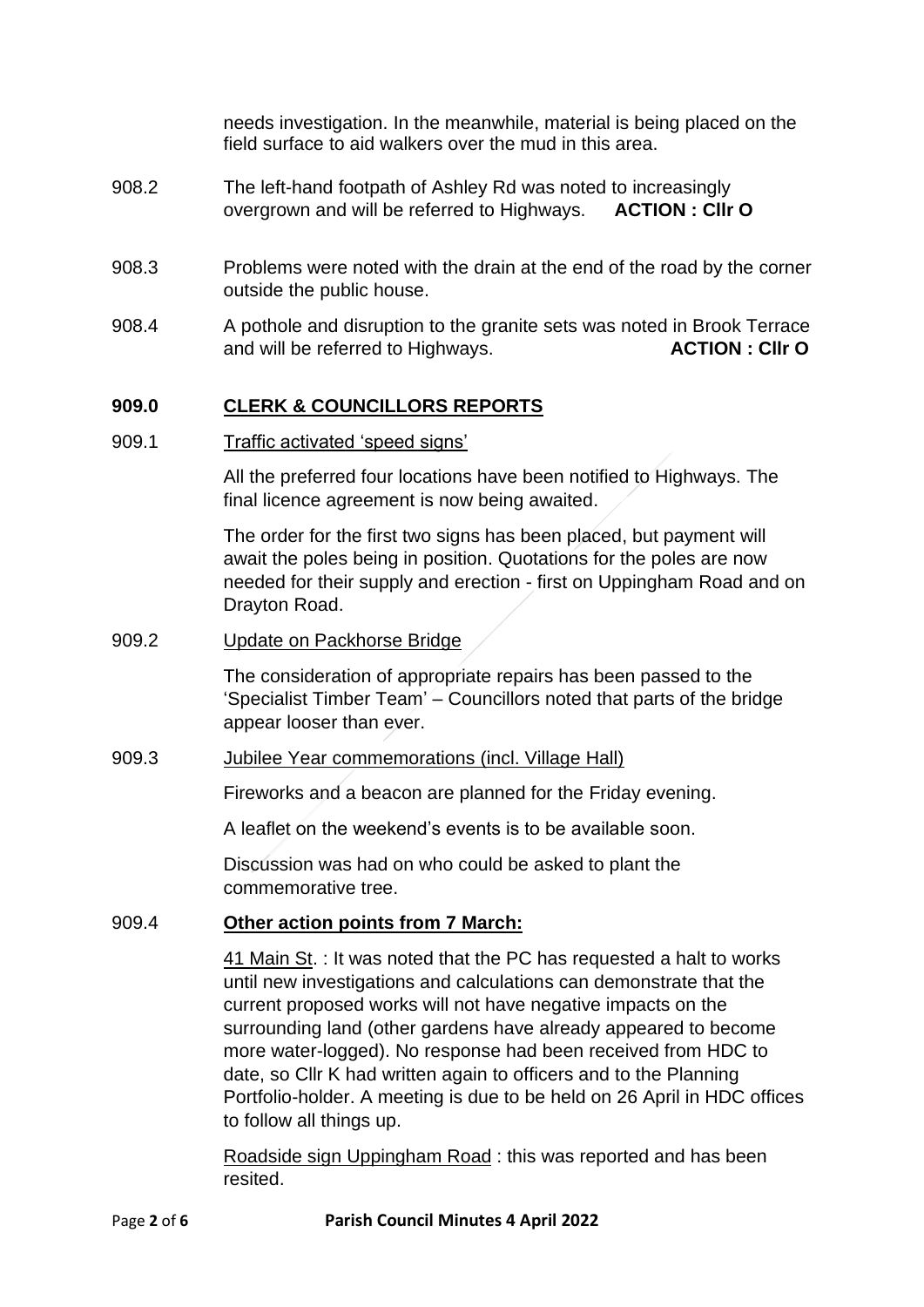needs investigation. In the meanwhile, material is being placed on the field surface to aid walkers over the mud in this area.

- 908.2 The left-hand footpath of Ashley Rd was noted to increasingly overgrown and will be referred to Highways. **ACTION : Cllr O**
- 908.3 Problems were noted with the drain at the end of the road by the corner outside the public house.
- 908.4 A pothole and disruption to the granite sets was noted in Brook Terrace and will be referred to Highways. **ACTION : Cllr O**

## **909.0 CLERK & COUNCILLORS REPORTS**

909.1 Traffic activated 'speed signs'

All the preferred four locations have been notified to Highways. The final licence agreement is now being awaited.

The order for the first two signs has been placed, but payment will await the poles being in position. Quotations for the poles are now needed for their supply and erection - first on Uppingham Road and on Drayton Road.

909.2 Update on Packhorse Bridge

The consideration of appropriate repairs has been passed to the 'Specialist Timber Team' – Councillors noted that parts of the bridge appear looser than ever.

909.3 Jubilee Year commemorations (incl. Village Hall)

Fireworks and a beacon are planned for the Friday evening.

A leaflet on the weekend's events is to be available soon.

Discussion was had on who could be asked to plant the commemorative tree.

#### 909.4 **Other action points from 7 March:**

41 Main St. : It was noted that the PC has requested a halt to works until new investigations and calculations can demonstrate that the current proposed works will not have negative impacts on the surrounding land (other gardens have already appeared to become more water-logged). No response had been received from HDC to date, so Cllr K had written again to officers and to the Planning Portfolio-holder. A meeting is due to be held on 26 April in HDC offices to follow all things up.

Roadside sign Uppingham Road : this was reported and has been resited.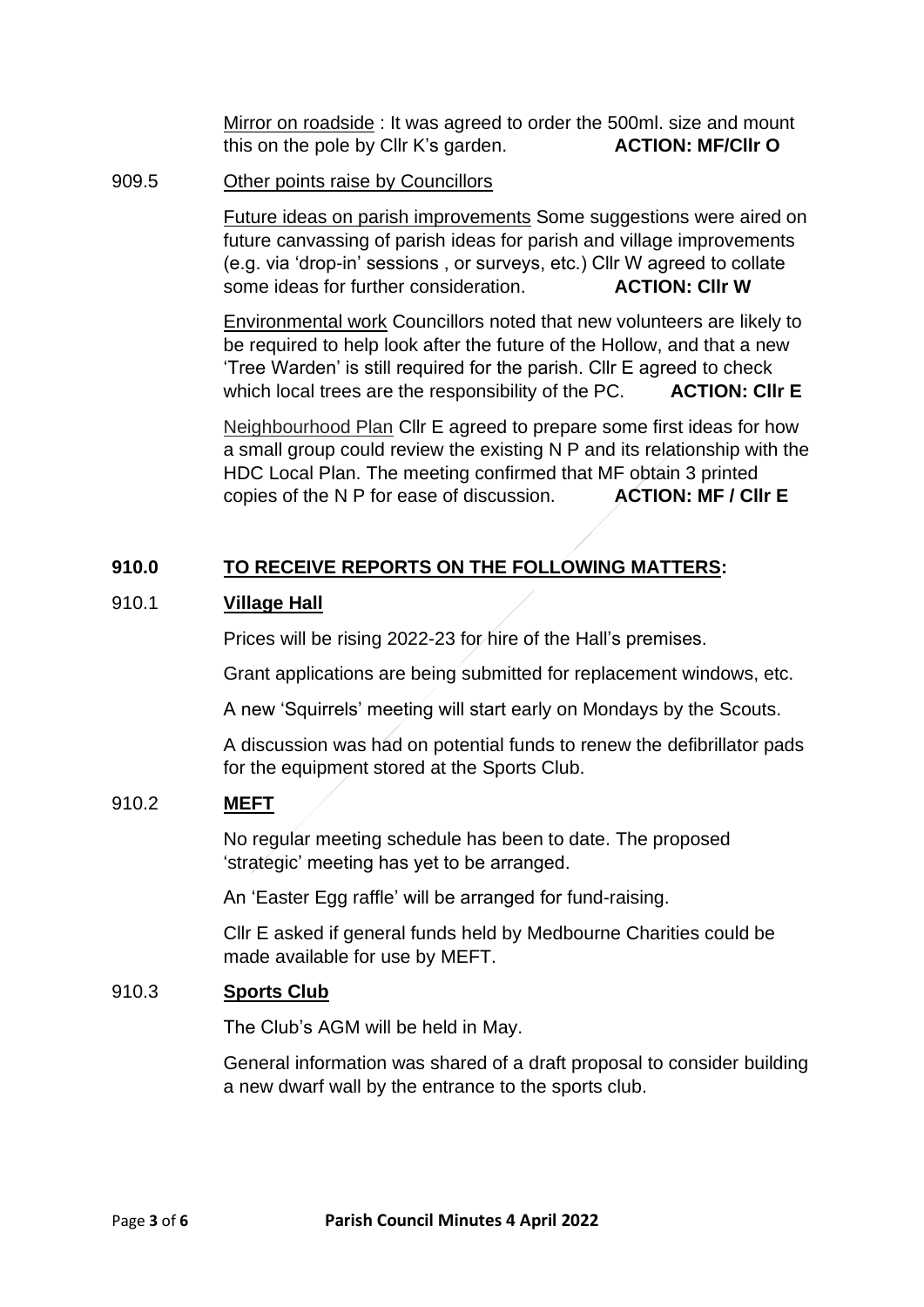Mirror on roadside : It was agreed to order the 500ml. size and mount this on the pole by Cllr K's garden. **ACTION: MF/Cllr O** 

#### 909.5 Other points raise by Councillors

Future ideas on parish improvements Some suggestions were aired on future canvassing of parish ideas for parish and village improvements (e.g. via 'drop-in' sessions , or surveys, etc.) Cllr W agreed to collate some ideas for further consideration. **ACTION: CIIr W** 

Environmental work Councillors noted that new volunteers are likely to be required to help look after the future of the Hollow, and that a new 'Tree Warden' is still required for the parish. Cllr E agreed to check which local trees are the responsibility of the PC. **ACTION: Cllr E**

Neighbourhood Plan Cllr E agreed to prepare some first ideas for how a small group could review the existing N P and its relationship with the HDC Local Plan. The meeting confirmed that MF obtain 3 printed copies of the N P for ease of discussion. **ACTION: MF / Cllr E**

## **910.0 TO RECEIVE REPORTS ON THE FOLLOWING MATTERS:**

## 910.1 **Village Hall**

Prices will be rising 2022-23 for hire of the Hall's premises.

Grant applications are being submitted for replacement windows, etc.

A new 'Squirrels' meeting will start early on Mondays by the Scouts.

A discussion was had on potential funds to renew the defibrillator pads for the equipment stored at the Sports Club.

#### 910.2 **MEFT**

No regular meeting schedule has been to date. The proposed 'strategic' meeting has yet to be arranged.

An 'Easter Egg raffle' will be arranged for fund-raising.

Cllr E asked if general funds held by Medbourne Charities could be made available for use by MEFT.

#### 910.3 **Sports Club**

The Club's AGM will be held in May.

General information was shared of a draft proposal to consider building a new dwarf wall by the entrance to the sports club.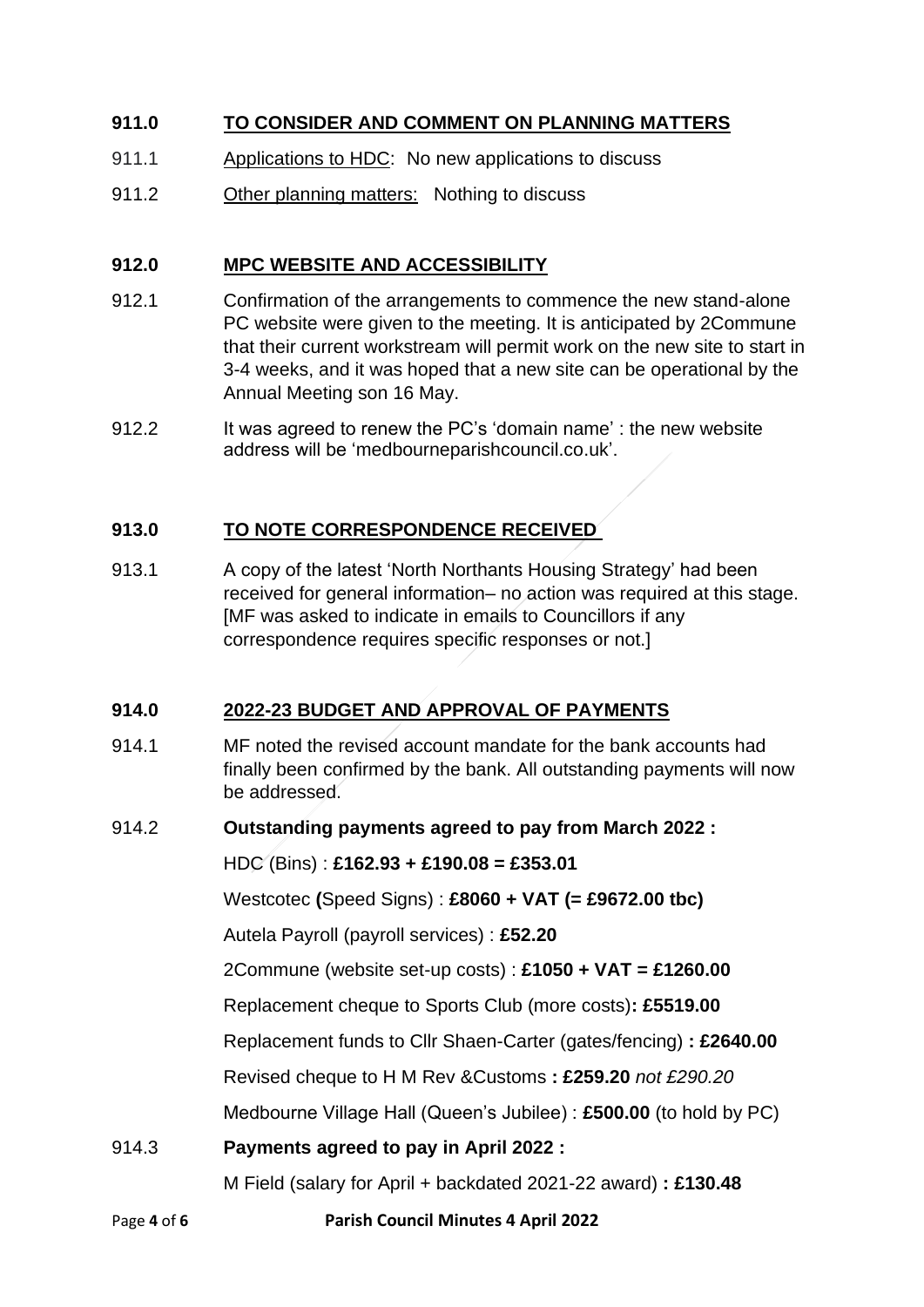## **911.0 TO CONSIDER AND COMMENT ON PLANNING MATTERS**

- 911.1 Applications to HDC: No new applications to discuss
- 911.2 Other planning matters: Nothing to discuss

## **912.0 MPC WEBSITE AND ACCESSIBILITY**

- 912.1 Confirmation of the arrangements to commence the new stand-alone PC website were given to the meeting. It is anticipated by 2Commune that their current workstream will permit work on the new site to start in 3-4 weeks, and it was hoped that a new site can be operational by the Annual Meeting son 16 May.
- 912.2 It was agreed to renew the PC's 'domain name' : the new website address will be 'medbourneparishcouncil.co.uk'.

## **913.0 TO NOTE CORRESPONDENCE RECEIVED**

913.1 A copy of the latest 'North Northants Housing Strategy' had been received for general information– no action was required at this stage. [MF was asked to indicate in emails to Councillors if any correspondence requires specific responses or not.]

## **914.0 2022-23 BUDGET AND APPROVAL OF PAYMENTS**

914.1 MF noted the revised account mandate for the bank accounts had finally been confirmed by the bank. All outstanding payments will now be addressed.

#### 914.2 **Outstanding payments agreed to pay from March 2022 :**

HDC (Bins) : **£162.93 + £190.08 = £353.01**

Westcotec **(**Speed Signs) : **£8060 + VAT (= £9672.00 tbc)**

Autela Payroll (payroll services) : **£52.20**

2Commune (website set-up costs) : **£1050 + VAT = £1260.00**

Replacement cheque to Sports Club (more costs)**: £5519.00**

Replacement funds to Cllr Shaen-Carter (gates/fencing) **: £2640.00**

Revised cheque to H M Rev &Customs **: £259.20** *not £290.20*

Medbourne Village Hall (Queen's Jubilee) : **£500.00** (to hold by PC)

## 914.3 **Payments agreed to pay in April 2022 :**

M Field (salary for April + backdated 2021-22 award) **: £130.48**

Page **4** of **6 Parish Council Minutes 4 April 2022**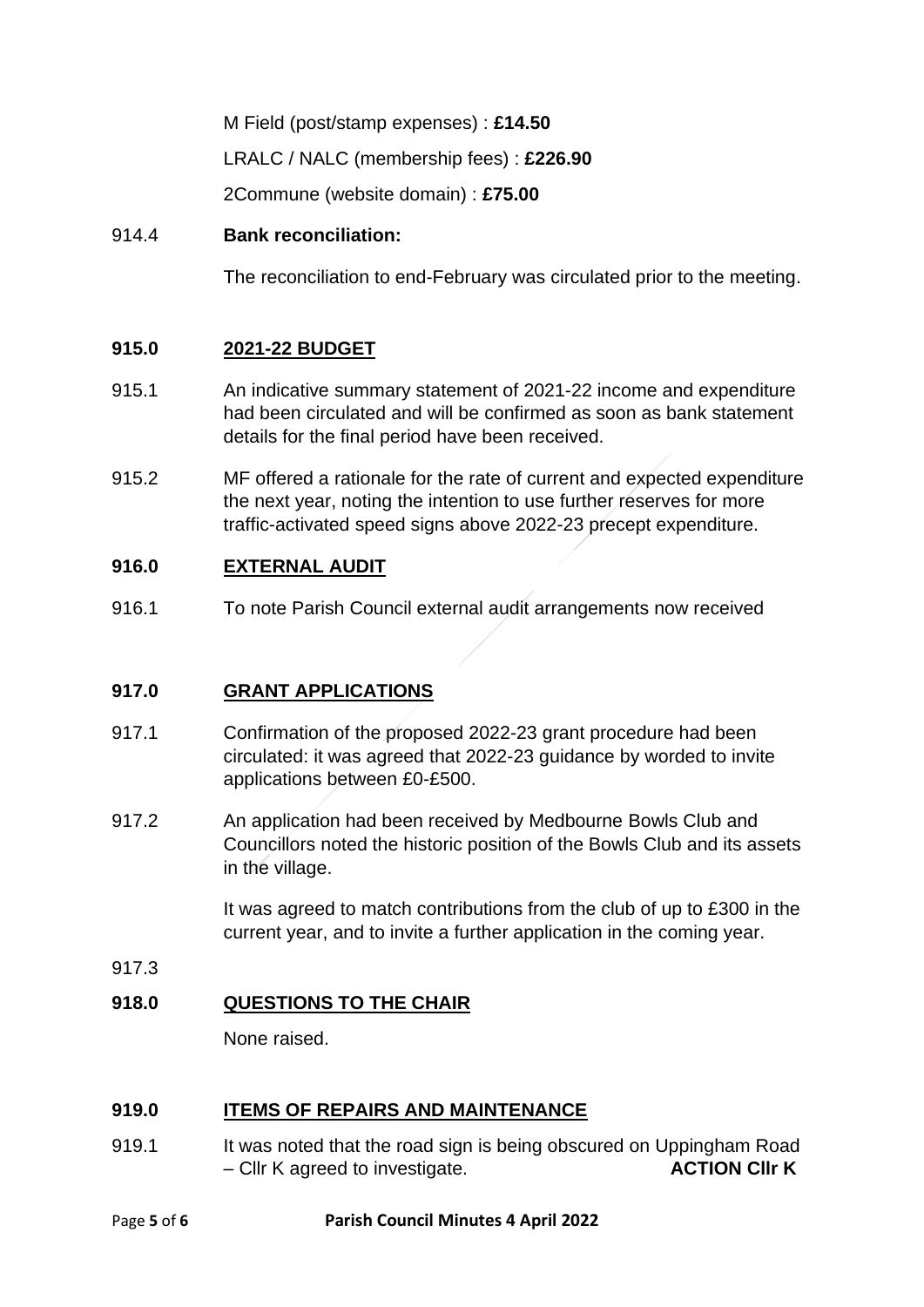M Field (post/stamp expenses) : **£14.50** LRALC / NALC (membership fees) : **£226.90** 2Commune (website domain) : **£75.00**

## 914.4 **Bank reconciliation:**

The reconciliation to end-February was circulated prior to the meeting.

## **915.0 2021-22 BUDGET**

- 915.1 An indicative summary statement of 2021-22 income and expenditure had been circulated and will be confirmed as soon as bank statement details for the final period have been received.
- 915.2 MF offered a rationale for the rate of current and expected expenditure the next year, noting the intention to use further reserves for more traffic-activated speed signs above 2022-23 precept expenditure.

## **916.0 EXTERNAL AUDIT**

916.1 To note Parish Council external audit arrangements now received

## **917.0 GRANT APPLICATIONS**

- 917.1 Confirmation of the proposed 2022-23 grant procedure had been circulated: it was agreed that 2022-23 guidance by worded to invite applications between £0-£500.
- 917.2 An application had been received by Medbourne Bowls Club and Councillors noted the historic position of the Bowls Club and its assets in the village.

It was agreed to match contributions from the club of up to £300 in the current year, and to invite a further application in the coming year.

917.3

## **918.0 QUESTIONS TO THE CHAIR**

None raised.

## **919.0 ITEMS OF REPAIRS AND MAINTENANCE**

919.1 It was noted that the road sign is being obscured on Uppingham Road – Cllr K agreed to investigate. **ACTION Cllr K**